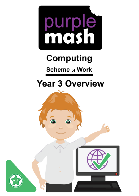

# **Computing**

**Scheme of Work** 

# **Year 3 Overview**

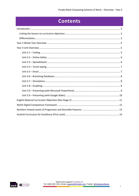## **Contents**

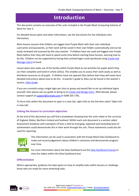## **Introduction**

<span id="page-2-0"></span>This document contains an overview of the units included in the Purple Mash Computing Scheme of Work for Year 3.

For detailed lesson plans and other information, see the documents for the individual units themselves.

Most lessons assume that children are logged onto Purple Mash with their own individual usernames and passwords, so their work will be saved in their own folders automatically and can be easily reviewed and assessed by the class teacher. If children have not used and logged onto Purple Mash before then they will need to spend some time before starting these lessons, learning how to do this. Children can be supported by having their printed logon cards (produced using [Create and](https://www.purplemash.com/site#app/guides/Create_Manage_Users_Guide)  [Manage Users\)](https://www.purplemash.com/site#app/guides/Create_Manage_Users_Guide) to hand.

Lesson plans also make use of the facility within Purple Mash to set activities for pupils which they can then complete and hand-in online (2Dos). This enables you to assess their work easily as well as distribute resources to all pupils. If children have not opened 2Dos before then they will need more detailed instructions about how to do this. A teacher's guide to 2Dos can be found in the teacher's section[: 2Dos Guide.](https://www.purplemash.com/site#app/guides/2dos_pdf_Guide)

If you are currently using a single login per class or group and would like to set up individual logins yourself, then please see our guide to doing so at [Create and Mange Users.](https://www.purplemash.com/site#app/guides/Create_Manage_Users_Guide) Alternatively, please contact support at [support@2simple.com](mailto:support@2simple.com) or 0208 203 1781.

To force links within this document to open in a new tab, right-click on the link then select 'Open link in new tab'.

#### <span id="page-2-1"></span>**Linking the lessons to curriculum objectives**

At the end of this document you will find a breakdown showing how the units relate to the curricula of England, Wales, Northern Ireland and Scotland. Within each unit document is a section called Assessment Guidance with exemplars of how a child at emerging, expected and exceeding level of achievement could demonstrate this in their work through the unit. These statements could also be used for reporting.



This information can be used in association with the Purple Mash Data Dashboard to make and record judgements about children's outcomes and demonstrate progress over time.

For more information about the Data Dashboard see the [Data Dashboard manual](https://www.purplemash.com/app/guides/Data_Dashboard_Users_Guide) or view the videos within the Data Dashboard tool.

#### <span id="page-2-2"></span>**Differentiation**

Where appropriate, guidance has been given on how to simplify tasks within lessons or challenge those who are ready for more stretching tasks.

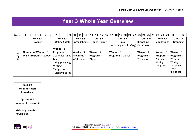## **Year 3 Whole Year Overview**

| <b>Week</b> |                      | 2                      | 3 | 4 | 5.                   | 6 |              | 8                | 9            | 10<br>11                        | 12              | 13 <sup>1</sup> | 14 15 |                 | 16        | 17 <sup>1</sup>                    |                 |  | 18   19   20   21   22 |                 |                 |                 | 23 24 25 26 |  | 27 <sup>1</sup> | 28   29             |  | 30   31          |  | 32 |
|-------------|----------------------|------------------------|---|---|----------------------|---|--------------|------------------|--------------|---------------------------------|-----------------|-----------------|-------|-----------------|-----------|------------------------------------|-----------------|--|------------------------|-----------------|-----------------|-----------------|-------------|--|-----------------|---------------------|--|------------------|--|----|
|             | <b>Unit 3.1</b>      |                        |   |   | <b>Unit 3.2</b>      |   |              | <b>Unit 3.3</b>  |              |                                 | <b>Unit 3.4</b> |                 |       | <b>Unit 3.5</b> |           |                                    | <b>Unit 3.6</b> |  |                        | <b>Unit 3.7</b> |                 | <b>Unit 3.8</b> |             |  |                 |                     |  |                  |  |    |
|             | Coding               |                        |   |   | <b>Online Safety</b> |   | Spreadsheets |                  | Touch-Typing |                                 |                 | Email           |       |                 | Branching |                                    |                 |  | <b>Simulations</b>     |                 | <b>Graphing</b> |                 |             |  |                 |                     |  |                  |  |    |
|             |                      |                        |   |   |                      |   |              |                  |              |                                 |                 |                 |       |                 |           | (including email safety) Databases |                 |  |                        |                 |                 |                 |             |  |                 |                     |  |                  |  |    |
|             |                      |                        |   |   |                      |   | Weeks $-3$   |                  |              |                                 |                 |                 |       |                 |           |                                    |                 |  |                        |                 |                 |                 |             |  |                 |                     |  |                  |  |    |
| w           | Number of Weeks $-6$ |                        |   |   |                      |   |              | $ $ Programs –   |              | $Weeks - 3$                     |                 | $Weeks - 4$     |       |                 |           | $Weeks - 6$                        |                 |  |                        |                 | $Weeks - 4$     |                 |             |  |                 | Weeks $-3$          |  | Weeks $-3$       |  |    |
| <b>YEAR</b> |                      | Main Programs - 2 Code |   |   |                      |   |              |                  |              | $ 2$ Connect (Mind   Programs – |                 | $ $ Programs –  |       |                 |           | $Programs – 2Email$                |                 |  |                        |                 | $ $ Programs –  |                 |             |  |                 | <b>Programs</b> $-$ |  | $Programs -$     |  |    |
|             |                      |                        |   |   |                      |   | Map)         |                  |              | 2Calculate                      |                 | 2Type           |       |                 |           |                                    |                 |  |                        |                 |                 | 2Question       |             |  |                 | 2Simulate,          |  | 2Graph           |  |    |
|             |                      |                        |   |   |                      |   |              | 2Blog (Blogging) |              |                                 |                 |                 |       |                 |           |                                    |                 |  |                        |                 |                 |                 |             |  | Writing         |                     |  | Writing          |  |    |
|             |                      |                        |   |   |                      |   | Writing      |                  |              |                                 |                 |                 |       |                 |           |                                    |                 |  |                        |                 |                 |                 |             |  |                 | <b>Templates</b>    |  | <b>Templates</b> |  |    |
|             |                      |                        |   |   |                      |   | Templates    |                  |              |                                 |                 |                 |       |                 |           |                                    |                 |  |                        |                 |                 |                 |             |  |                 |                     |  | 2Blog            |  |    |
|             |                      |                        |   |   |                      |   |              | Display boards   |              |                                 |                 |                 |       |                 |           |                                    |                 |  |                        |                 |                 |                 |             |  |                 |                     |  | (Blogging)       |  |    |
|             |                      |                        |   |   |                      |   |              |                  |              |                                 |                 |                 |       |                 |           |                                    |                 |  |                        |                 |                 |                 |             |  |                 |                     |  |                  |  |    |

<span id="page-3-0"></span>

(Optional Unit)

**Number of Lessons** – 6

**Main program** – MS

PowerPoint

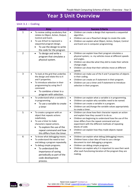## **Year 3 Unit Overview**

#### <span id="page-4-1"></span><span id="page-4-0"></span>**Unit 3.1 – Coding**

| <b>Lesson</b>  | <b>Aims</b>                                                                                                                                                                                                                                                                        | <b>Success Criteria</b>                                                                                                                                                                                                                                                                                                                                                                          |
|----------------|------------------------------------------------------------------------------------------------------------------------------------------------------------------------------------------------------------------------------------------------------------------------------------|--------------------------------------------------------------------------------------------------------------------------------------------------------------------------------------------------------------------------------------------------------------------------------------------------------------------------------------------------------------------------------------------------|
| 1              | To review coding vocabulary that<br>$\bullet$<br>relates to Object, Action, Output,<br>Control and Event.<br>To use 2Chart to represent a<br>$\bullet$<br>sequential program design.<br>To use the design to write<br>the code for the program                                     | Children can create a design that represents a sequential<br>$\bullet$<br>algorithm.<br>Children can use a flowchart design to create the code.<br>$\bullet$<br>Children can explain what Object, Action, Output, Control<br>$\bullet$<br>and Event are in computer programming.                                                                                                                 |
| $\overline{2}$ | To design and write a<br>$\bullet$<br>program that simulates a<br>physical system.                                                                                                                                                                                                 | Children can explain how their program simulates a<br>$\bullet$<br>physical system, i.e. my vehicles move at different speeds<br>and angles.<br>Children can describe what they did to make their vehicle<br>$\bullet$<br>change angle.<br>Children can show that their vehicles move at different<br>$\bullet$<br>speeds                                                                        |
| 3              | To look at the grid that underlies<br>$\bullet$<br>the design and relate this to X<br>and Y properties.<br>To introduce selection in their<br>$\bullet$<br>programming by using the if<br>command.<br>To combine a timer in a<br>program with selection.                           | Children can make use of the X and Y properties of objects<br>$\bullet$<br>in their coding.<br>Children can create an if statement in their program.<br>$\bullet$<br>Children can use a timer and if statement to introduce<br>$\bullet$<br>selection in their program.                                                                                                                          |
| 4              | To understand what a variable is<br>$\bullet$<br>in programming.<br>To use a variable to create<br>a timer                                                                                                                                                                         | Children can explain what a variable is in programming.<br>$\bullet$<br>Children can explain why variables need to be named.<br>$\bullet$<br>Children can create a variable in a program.<br>$\bullet$<br>Children can set/change the variable values appropriately<br>$\bullet$<br>to create a timer.                                                                                           |
| 5              | To create a program with an<br>$\bullet$<br>object that repeats actions<br>indefinitely.<br>To use a timer to make<br>$\bullet$<br>characters repeat actions.<br>To explore the use of the<br>repeat command and how<br>this differs from the timer.                               | Children can show how their character repeats an action<br>$\bullet$<br>and explain how they caused it to do so.<br>Children are beginning to understand how the use of the<br>$\bullet$<br>timer differs from the repeat command and can<br>experiment with the different methods of repeating<br>blocks of code.<br>Children can explain how they made objects repeat<br>$\bullet$<br>actions. |
| 6              | To know what debugging means.<br>$\bullet$<br>To understand the need to test<br>$\bullet$<br>and debug a program repeatedly.<br>To debug simple programs.<br>$\bullet$<br>To understand the<br>importance of saving<br>periodically as part of the<br>code development<br>process. | Children can explain what debug (debugging) means.<br>$\bullet$<br>Children have a clear idea of how to use a design<br>$\bullet$<br>document to start debugging a program.<br>Children can debug simple programs.<br>$\bullet$<br>Children can explain why it is important to save their work<br>$\bullet$<br>after each functioning iteration of the program they are<br>making.               |

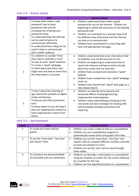#### **Lesson Aims Success Criteria** 1 To know what makes a safe password, how to keep passwords safe and the consequences of giving your passwords away. To understand how the Internet can be used to help us to communicate effectively. To understand how a blog can be used to help us communicate with a wider audience. • Children understand what makes a good password for use on the Internet. Children are beginning to realise the outcomes of not keeping passwords safe. • Children can contribute to a concept map of all the different ways they know that the Internet can help us to communicate. • Children have contributed to a class blog with clear and appropriate messages. 2 For children to consider if that they read on websites is true? To look at some 'spoof' websites. To create a 'spoof' webpage. To think about why these sites might exist and how to check that the information is accurate. • Children understand that some information held on websites may not be accurate or true. • Children are beginning to understand how to search the Internet and how to think critically about the results that are returned. • Children have accessed and assessed a 'spoof' website. • Children have created their own 'spoof' webpage mock-up. • Children have shared their 'spoof' web page on a class display board. 3 To learn about the meaning of age restrictions symbols on digital media and devices. To discuss why PEGI restrictions exist. To know where to turn for help if they see inappropriate content or have inappropriate contact from others. • Children can identify some physical and emotional effects of playing/watching inappropriate content/games. • Children relate cyberbullying to bullying in the real-world and have strategies for dealing with online bullying including screenshot and reporting.

#### <span id="page-5-0"></span>**Unit 3.2 – Online Safety**

#### <span id="page-5-1"></span>**Unit 3.3 – Spreadsheets**

| Lesson        | <b>Aims</b>                         | <b>Success Criteria</b>                                             |
|---------------|-------------------------------------|---------------------------------------------------------------------|
| 1             | To create pie charts and bar        | Children can create a table of data on a spreadsheet.<br>$\bullet$  |
|               | graphs.                             | Children can use a spreadsheet program to                           |
|               |                                     | automatically create charts and graphs from data.                   |
| $\mathcal{P}$ | To use the 'more than', 'less than' | Children can use the 'more than', 'less than' and<br>$\bullet$      |
|               | and 'equals' tools.                 | 'equals' tools to compare different numbers and help                |
|               |                                     | to work out solutions to sums.                                      |
|               |                                     | Children can use the 'spin' tool to count through                   |
|               |                                     | times tables.                                                       |
| 3             | To introduce the Advanced Mode      | Children can describe a cell location in a spreadsheet<br>$\bullet$ |
|               | of 2Calculate and use coordinates.  | using the notation of a letter for the column followed              |
|               |                                     | by a number for the row.                                            |
|               |                                     | Children can find specified locations in a spreadsheet.             |

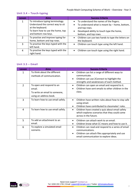#### **Lesson Aims Aims Aims Success Criteria** 1 | To introduce typing terminology. Understand the correct way to sit at the keyboard. To learn how to use the home, top and bottom row keys. • To understand the names of the fingers. • To understand what is meant by – home, bottom, and top rows. • Developed ability to touch type the home, bottom, and top rows. 2 To practise and improve typing for home, bottom and top rows. • Children can use two hands to type the letters on the keyboard. 3 | To practise the keys typed with the left hand. • Children can touch type using the left hand. 4 To practise the keys typed with the right hand. • Children can touch type using the right hand.

#### <span id="page-6-0"></span>**Unit 3.4 – Touch-typing**

#### <span id="page-6-1"></span>**Unit 3.5 – Email**

| Lesson         | <b>Aims</b>                                                                                    | <b>Success Criteria</b>                                                                                                                                                        |
|----------------|------------------------------------------------------------------------------------------------|--------------------------------------------------------------------------------------------------------------------------------------------------------------------------------|
| 1              | To think about the different<br>methods of communication.                                      | Children can list a range of different ways to<br>communicate.<br>Children can use 2Connect to highlight the<br>strengths and weaknesses of each method.                       |
| $\overline{2}$ | To open and respond to an<br>email.<br>To write an email to someone,<br>using an address book. | Children can open an email and respond to it.<br>$\bullet$<br>Children have sent emails to other children in the<br>class.                                                     |
| 3              | To learn how to use email safely.                                                              | Children have written rules about how to stay safe<br>using email.<br>Children have contributed to classmates' rules.<br>$\bullet$                                             |
| 4              | To learn how to use email safely.                                                              | Children have created a quiz about email safety<br>$\bullet$<br>which explores scenarios that they could come<br>across in the future.                                         |
| 5              | To add an attachment to an<br>email.                                                           | Children can attach work to an email.<br>Children know what CC means and how to use it.                                                                                        |
| 6              | To explore a simulated email<br>scenario.                                                      | Children can read and respond to a series of email<br>communications.<br>Children can attach files appropriately and use<br>$\bullet$<br>email communication to explore ideas. |

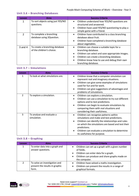| Lesson         | Aims                                                        | <b>Success Criteria</b>                                                                                                                                                                                                                                                                       |
|----------------|-------------------------------------------------------------|-----------------------------------------------------------------------------------------------------------------------------------------------------------------------------------------------------------------------------------------------------------------------------------------------|
| 1              | To sort objects using just YES/NO<br>questions.             | Children understand how YES/NO questions are<br>٠<br>structured and answered.<br>Children have used YES/NO questioning to play a<br>$\bullet$<br>simple game with a friend.                                                                                                                   |
| $\overline{2}$ | To complete a branching<br>database using 2Question.        | Children have contributed to a class branching<br>$\bullet$<br>database about fruit.<br>Children have completed a branching database<br>$\bullet$<br>about vegetables.                                                                                                                        |
| $3$ and $4$    | To create a branching database<br>of the children's choice. | Children can choose a suitable topic for a<br>$\bullet$<br>branching database.<br>Children can select and save appropriate images.<br>$\bullet$<br>Children can create a branching database.<br>$\bullet$<br>Children know how to use and debug their own<br>$\bullet$<br>branching database. |

#### <span id="page-7-0"></span>**Unit 3.6 – Branching Databases**

#### <span id="page-7-3"></span><span id="page-7-1"></span>**Unit 3.7 – Simulations**

| Lesson        | <b>Aims</b>                              | <b>Success Criteria</b>                                                                                                                                                                                                                                                                                                         |
|---------------|------------------------------------------|---------------------------------------------------------------------------------------------------------------------------------------------------------------------------------------------------------------------------------------------------------------------------------------------------------------------------------|
| 1             | To look at what simulations are.         | Children know that a computer simulation can<br>٠<br>represent real and imaginary situations.<br>Children can give some examples of simulations<br>$\bullet$<br>used for fun and for work.<br>Children can give suggestions of advantages and<br>$\bullet$<br>problems of simulations.                                          |
| $\mathcal{P}$ | To explore a simulation.                 | Children can explore a simulation.<br>٠<br>Children can use a simulation to try out different<br>$\bullet$<br>options and to test predictions.<br>Children can begin to evaluate simulations by<br>$\bullet$<br>comparing them with real situations and<br>considering their usefulness.                                        |
| 3             | To analyse and evaluate a<br>simulation. | Children can recognise patterns within<br>٠<br>simulations and make and test predictions.<br>Children can identify the relationships and rules<br>$\bullet$<br>on which the simulations are based and test their<br>predictions.<br>Children can evaluate a simulation to determine<br>$\bullet$<br>its usefulness for purpose. |

#### <span id="page-7-2"></span>**Unit 3.8 – Graphing**

| Lesson | <b>Aims</b>                                                              | <b>Success Criteria</b>                                                                                                                                                                             |
|--------|--------------------------------------------------------------------------|-----------------------------------------------------------------------------------------------------------------------------------------------------------------------------------------------------|
| 1      | To enter data into a graph and<br>answer questions.                      | • Children can set up a graph with a given number<br>of fields.<br>Children can enter data for a graph.<br>$\bullet$<br>Children can produce and share graphs made on<br>$\bullet$<br>the computer. |
| 2      | To solve an investigation and<br>present the results in graphic<br>form. | Children have solved a maths investigation.<br>Children can present the results in a range of<br>graphical formats.                                                                                 |

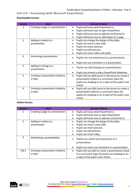### <span id="page-8-0"></span>**Unit 3.9 – Presenting (with Microsoft PowerPoint)**

#### **Downloaded Version**

| Lesson | <b>Aims</b>                                  | <b>Success Criteria</b>                                                                                                                                                                  |
|--------|----------------------------------------------|------------------------------------------------------------------------------------------------------------------------------------------------------------------------------------------|
| 1      | Creating a page in a presentation            | Pupils will know what PowerPoint is.                                                                                                                                                     |
|        |                                              | Pupils will know how to open PowerPoint.                                                                                                                                                 |
|        |                                              | Pupils will know how to add text and format it.                                                                                                                                          |
|        |                                              | Pupils will know how to add shapes to a page.<br>$\bullet$                                                                                                                               |
| 2      | Adding in media to a                         | Pupils can change the design of the slides.                                                                                                                                              |
|        | presentation                                 | Pupils can insert a new slide.                                                                                                                                                           |
|        |                                              | Pupils can insert pictures.                                                                                                                                                              |
|        |                                              | Pupils can edit pictures.                                                                                                                                                                |
|        |                                              | Pupils can insert video and audio.                                                                                                                                                       |
| 3      | Animating a presentation                     | Pupils can use animations in a presentation.                                                                                                                                             |
|        |                                              | Pupils can use transitions in a presentation.                                                                                                                                            |
| 4      | Adding in timings to a<br>presentation       | Pupils can add timings to a presentation.                                                                                                                                                |
|        |                                              | Pupils can present using a PowerPoint slideshow.                                                                                                                                         |
| 5      | Creating a presentation linked to<br>a topic | Pupils will use skills learnt in the lesson to create a<br>$\bullet$<br>presentation linked to a curriculum topic the<br>pupils are studying or on a topic of the pupil's own<br>choice. |
| 6      | Creating a presentation linked to<br>a topic | Pupils will use skills learnt in the lesson to create a<br>$\bullet$<br>presentation linked to a curriculum topic the<br>pupils are studying or on a topic of the pupil's own<br>choice  |

#### **Online Version**

| Lesson | Aims                                         | <b>Success Criteria</b>                                                                                                                             |
|--------|----------------------------------------------|-----------------------------------------------------------------------------------------------------------------------------------------------------|
| 1      | Creating a page in a presentation            | Pupils will know what PowerPoint is.                                                                                                                |
|        |                                              | Pupils will know how to open PowerPoint.                                                                                                            |
|        |                                              | Pupils will know how to add text and format it.                                                                                                     |
| 2      | Adding in media to a                         | Pupils can change the design of the slides.<br>$\bullet$                                                                                            |
|        | presentation                                 | Pupils can insert a new slide.                                                                                                                      |
|        |                                              | Pupils can insert pictures.                                                                                                                         |
|        |                                              | Pupils can edit pictures.                                                                                                                           |
|        |                                              | Pupils can insert video.                                                                                                                            |
| 3      | Animating a presentation                     | Pupils can insert use animations in a<br>presentation.                                                                                              |
|        |                                              | Pupils can insert use transitions in a presentation.                                                                                                |
| 4 & 5  | Creating a presentation linked to<br>a topic | Pupils will use skills to create a presentation linked<br>to a curriculum topic the pupils are studying or on<br>a topic of the pupil's own choice. |

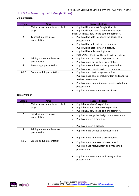### <span id="page-9-0"></span>**Unit 3.9 – Presenting (with Google Slides)**

#### **Online Version**

| Lesson         | Aims                           | <b>Success Criteria</b>                                         |
|----------------|--------------------------------|-----------------------------------------------------------------|
| 1              | Making a document from a blank | Pupils will know what Google Slides is.                         |
|                | page                           | Pupils will know how to open Google Slides.                     |
|                |                                | Pupils will know how to add text and format it.                 |
| $\overline{2}$ | To insert images into a        | Pupils will be able to change the design of a                   |
|                | presentation                   | presentation.                                                   |
|                |                                | Pupils will be able to insert a new slide.                      |
|                |                                | Pupils will be able to insert a picture.                        |
|                |                                | Pupils will be able to edit pictures.<br>$\bullet$              |
|                |                                | EXTENSION - Pupils will be able to insert video.<br>٠           |
| 3              | Adding shapes and lines to a   | Pupils can add shapes to a presentation.                        |
|                | presentation                   | Pupils can add lines into a presentation.                       |
| 4              | Animating a presentation       | Pupils can use animations in a presentation.<br>$\bullet$       |
|                |                                | Pupils can use transitions in a presentation.<br>$\bullet$      |
| 5&6            | Creating a full presentation   | Pupils can add text to a presentation.<br>$\bullet$             |
|                |                                | Pupils can add objects including text and pictures<br>$\bullet$ |
|                |                                | to their presentation.                                          |
|                |                                | Pupils can add animation and transitions to their               |
|                |                                | presentation.                                                   |
|                |                                | Pupils can present their work on Slides.                        |

#### **Tablet Version**

| Lesson         | <b>Aims</b>                                  | <b>Success Criteria</b>                                                                                     |
|----------------|----------------------------------------------|-------------------------------------------------------------------------------------------------------------|
| 1              | Making a document from a blank               | Pupils know what Google Slides is.                                                                          |
|                | page                                         | Pupils know how to open Google Slides.                                                                      |
|                |                                              | Pupils know how to add text and format it.                                                                  |
| $\overline{2}$ | Inserting images into a<br>presentation      | Pupils can change the design of a presentation.<br>Pupils can insert a new slide.                           |
|                |                                              | Pupils can insert a picture.                                                                                |
| 3              | Adding shapes and lines to a<br>presentation | Pupils can add shapes to a presentation.                                                                    |
|                |                                              | Pupils can add lines into a presentation.                                                                   |
| 4 & 5          | Creating a full presentation                 | Pupils can plan a presentation on a topic.<br>Pupils can add relevant text and images to a<br>presentation. |
|                |                                              | Pupils can present their topic using a Slides<br>presentation.                                              |

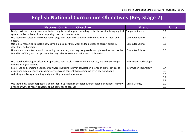## **English National Curriculum Objectives (Key Stage 2)**

<span id="page-10-0"></span>

| <b>National Curriculum Objective</b>                                                                                                                                                               | <b>Strand</b>                 | <b>Units</b> |
|----------------------------------------------------------------------------------------------------------------------------------------------------------------------------------------------------|-------------------------------|--------------|
| Design, write and debug programs that accomplish specific goals, including controlling or simulating physical<br>systems; solve problems by decomposing them into smaller parts.                   | <b>Computer Science</b>       | 3.1          |
| Use sequence, selection and repetition in programs; work with variables and various forms of input and<br>output.                                                                                  | <b>Computer Science</b>       | 3.1          |
| Use logical reasoning to explain how some simple algorithms work and to detect and correct errors in<br>algorithms and programs                                                                    | <b>Computer Science</b>       | 3.1          |
| Understand computer networks, including the Internet; how they can provide multiple services, such as the<br>World Wide Web; and the opportunities they offer for communication and collaboration. | <b>Computer Science</b>       | 3.5          |
| Use search technologies effectively, appreciate how results are selected and ranked, and be discerning in<br>evaluating digital content.                                                           | <b>Information Technology</b> |              |
| Select, use and combine a variety of software (including internet services) on a range of digital devices to                                                                                       | <b>Information Technology</b> | 3.4          |
| design and create a range of programs, systems and content that accomplish given goals, including                                                                                                  |                               | 3.5          |
| collecting, analysing, evaluating and presenting data and information.                                                                                                                             |                               | 3.6          |
|                                                                                                                                                                                                    |                               | 3.7          |
|                                                                                                                                                                                                    |                               | 3.8          |
| Use technology safely, respectfully and responsibly; recognise acceptable/unacceptable behaviour; identify                                                                                         | Digital Literacy              | 3.2          |
| a range of ways to report concerns about content and contact.                                                                                                                                      |                               | 3.5          |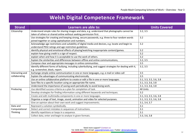## **Welsh Digital Competence Framework**

<span id="page-11-0"></span>

| <b>Strand</b>   | Learners are able to:                                                                                                                                                 | <b>Units Covered</b>    |
|-----------------|-----------------------------------------------------------------------------------------------------------------------------------------------------------------------|-------------------------|
| Citizenship     | Understand simple rules for sharing images and data, e.g. understand that photographs cannot be<br>taken of others or shared online without seeking permission first. | 3.2, 3.5                |
|                 | Use strategies for creating and keeping strong, secure passwords, e.g. three to four random words                                                                     | 3.2                     |
|                 | joined together or using capitalisation and numbers.                                                                                                                  |                         |
|                 | Acknowledge age restrictions and suitability of digital media and devices, e.g. locate and begin to<br>understand PEGI ratings and age restriction guidelines.        | 3.2                     |
|                 | identify physical and emotional effects of playing/watching inappropriate content/games.                                                                              | 3.2                     |
|                 | explain how giving credit is a sign of respect.                                                                                                                       | 3.2                     |
|                 | explain when and how it is acceptable to use the work of others.                                                                                                      | 3.2                     |
|                 | Explain the similarities and differences between offline and online communications,                                                                                   | 3.2, 3.5                |
|                 | Compose clear and appropriate messages in online communities.                                                                                                         | 3.5                     |
|                 | Identify different forms of bullying, including cyberbullying, and suggest strategies for dealing with it,                                                            | 3.2, 3.5                |
|                 | e.g. screenshot, block, report.                                                                                                                                       |                         |
| Interacting and | Exchange simple online communication in one or more languages, e.g. e-mail or video call                                                                              | 3.5                     |
| collaborating   | Explain the advantages of communicating electronically.                                                                                                               | 3.5                     |
|                 | Use an online collaborative platform to create or edit a file in one or more languages.                                                                               | 3.1, 3.3, 3.5, 3.6, 3.8 |
|                 | Save files to a specific location using an appropriate file name.                                                                                                     | 3.1, 3.3, 3.6, 3.8      |
|                 | Understand the importance of saving work periodically to avoid losing work.                                                                                           | 3.1, 3.3, 3.6, 3.8      |
| Producing       | Use identified success criteria as a plan for completion of task.                                                                                                     | <b>All Units</b>        |
|                 | Develop strategies for finding information using different keywords and techniques.                                                                                   | 3.2                     |
|                 | Create and edit multimedia components in one or more languages.                                                                                                       | 3.1, 3.3, 3.5, 3.6, 3.8 |
|                 | Organise a range of text, image, sound, animation and video for selected purposes.                                                                                    | 3.1, 3.3, 3.5, 3.6, 3.8 |
|                 | Give an opinion about their own work and suggest improvements.                                                                                                        | 3.1, 3.4, 3.7           |
| Data and        | Represent a solution symbolically.                                                                                                                                    | 3.1                     |
| Computational   | Detect and correct mistakes in sequences of instructions.                                                                                                             | 3.1                     |
| Thinking        | Identify repetitions or loops in a sequence.                                                                                                                          | 3.1                     |
|                 | Collect data, enter and begin to analyse in given formats.                                                                                                            | 3.3, 3.6, 3.8           |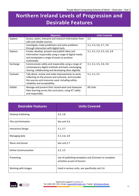## <span id="page-12-0"></span>**Northern Ireland Levels of Progression and Desirable Features**

|                | <b>Objective</b>                                                                                                                                                                                | <b>Units Covered</b>         |
|----------------|-------------------------------------------------------------------------------------------------------------------------------------------------------------------------------------------------|------------------------------|
| Explore        | Access, select, interpret and research information from<br>safe and reliable sources.                                                                                                           | 3.2                          |
|                | Investigate, make predictions and solve problems<br>through interaction with digital tools.                                                                                                     | 3.1, 3.3, 3.6, 3.7, 3.8      |
| <b>Express</b> | Create, develop, present and publish ideas and<br>information responsibly using a range of digital media<br>and manipulate a range of assets to produce<br>multimedia.                          | 3.1, 3.2, 3.3, 3.5, 3.6, 3.8 |
| Exchange       | Communicate safely and responsibly using a range of<br>contemporary digital methods and tools, exchanging,<br>sharing, collaborating and developing ideas digitally.                            | 3.1, 3.2, 3.5, 3.6, 3.8      |
| Evaluate       | Talk about, review and make improvements to work,<br>reflecting on the process and outcome, and consider<br>the sources and resources used, including safety,<br>reliability and acceptability. | 3.1, 3.2, 3.5                |
| Exhibit        | Manage and present their stored work and showcase<br>their learning across the curriculum, using ICT safely<br>and responsibly.                                                                 | <b>All Units</b>             |

| <b>Desirable Features</b>   | <b>Units Covered</b>                                                                  |
|-----------------------------|---------------------------------------------------------------------------------------|
| Desktop Publishing          | 3.4, 3.8                                                                              |
| <b>Film and Animation</b>   | See unit 4.6                                                                          |
| <b>Interactive Design</b>   | 3.1, 3.7                                                                              |
| Managing data               | 3.3, 3.6, 3.8                                                                         |
| <b>Music and Sound</b>      | See unit 2.7                                                                          |
| <b>Online Communication</b> | 3.2, 3.5                                                                              |
| Presenting                  | Use of publishing templates and 2Connect to complete<br>activities as part of lessons |
| Working with Images         | Used in various units, see specifically unit 2.6                                      |